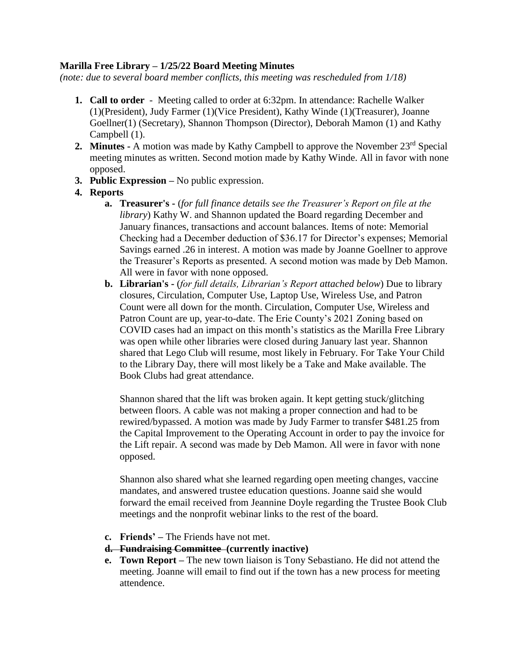## **Marilla Free Library – 1/25/22 Board Meeting Minutes**

*(note: due to several board member conflicts, this meeting was rescheduled from 1/18)*

- **1. Call to order** Meeting called to order at 6:32pm. In attendance: Rachelle Walker (1)(President), Judy Farmer (1)(Vice President), Kathy Winde (1)(Treasurer), Joanne Goellner(1) (Secretary), Shannon Thompson (Director), Deborah Mamon (1) and Kathy Campbell (1).
- **2. Minutes -** A motion was made by Kathy Campbell to approve the November 23rd Special meeting minutes as written. Second motion made by Kathy Winde. All in favor with none opposed.
- **3. Public Expression –** No public expression.
- **4. Reports**
	- **a. Treasurer's -** (*for full finance details see the Treasurer's Report on file at the library*) Kathy W. and Shannon updated the Board regarding December and January finances, transactions and account balances. Items of note: Memorial Checking had a December deduction of \$36.17 for Director's expenses; Memorial Savings earned .26 in interest. A motion was made by Joanne Goellner to approve the Treasurer's Reports as presented. A second motion was made by Deb Mamon. All were in favor with none opposed.
	- **b. Librarian's -** (*for full details, Librarian's Report attached below*) Due to library closures, Circulation, Computer Use, Laptop Use, Wireless Use, and Patron Count were all down for the month. Circulation, Computer Use, Wireless and Patron Count are up, year-to-date. The Erie County's 2021 Zoning based on COVID cases had an impact on this month's statistics as the Marilla Free Library was open while other libraries were closed during January last year. Shannon shared that Lego Club will resume, most likely in February. For Take Your Child to the Library Day, there will most likely be a Take and Make available. The Book Clubs had great attendance.

Shannon shared that the lift was broken again. It kept getting stuck/glitching between floors. A cable was not making a proper connection and had to be rewired/bypassed. A motion was made by Judy Farmer to transfer \$481.25 from the Capital Improvement to the Operating Account in order to pay the invoice for the Lift repair. A second was made by Deb Mamon. All were in favor with none opposed.

Shannon also shared what she learned regarding open meeting changes, vaccine mandates, and answered trustee education questions. Joanne said she would forward the email received from Jeannine Doyle regarding the Trustee Book Club meetings and the nonprofit webinar links to the rest of the board.

- **c. Friends' –** The Friends have not met.
- **d. Fundraising Committee (currently inactive)**
- **e. Town Report –** The new town liaison is Tony Sebastiano. He did not attend the meeting. Joanne will email to find out if the town has a new process for meeting attendence.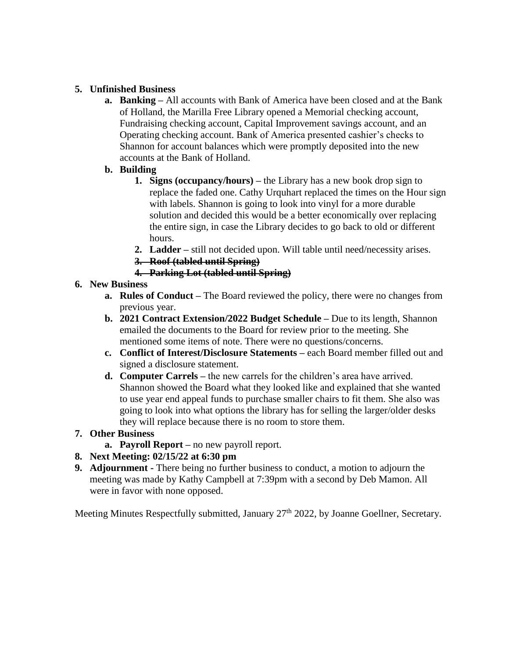## **5. Unfinished Business**

**a. Banking –** All accounts with Bank of America have been closed and at the Bank of Holland, the Marilla Free Library opened a Memorial checking account, Fundraising checking account, Capital Improvement savings account, and an Operating checking account. Bank of America presented cashier's checks to Shannon for account balances which were promptly deposited into the new accounts at the Bank of Holland.

## **b. Building**

- **1. Signs (occupancy/hours) –** the Library has a new book drop sign to replace the faded one. Cathy Urquhart replaced the times on the Hour sign with labels. Shannon is going to look into vinyl for a more durable solution and decided this would be a better economically over replacing the entire sign, in case the Library decides to go back to old or different hours.
- **2. Ladder –** still not decided upon. Will table until need/necessity arises.
- **3. Roof (tabled until Spring)**
- **4. Parking Lot (tabled until Spring)**

## **6. New Business**

- **a. Rules of Conduct –** The Board reviewed the policy, there were no changes from previous year.
- **b. 2021 Contract Extension/2022 Budget Schedule –** Due to its length, Shannon emailed the documents to the Board for review prior to the meeting. She mentioned some items of note. There were no questions/concerns.
- **c. Conflict of Interest/Disclosure Statements –** each Board member filled out and signed a disclosure statement.
- **d. Computer Carrels –** the new carrels for the children's area have arrived. Shannon showed the Board what they looked like and explained that she wanted to use year end appeal funds to purchase smaller chairs to fit them. She also was going to look into what options the library has for selling the larger/older desks they will replace because there is no room to store them.

## **7. Other Business**

**a. Payroll Report –** no new payroll report.

# **8. Next Meeting: 02/15/22 at 6:30 pm**

**9. Adjournment -** There being no further business to conduct, a motion to adjourn the meeting was made by Kathy Campbell at 7:39pm with a second by Deb Mamon. All were in favor with none opposed.

Meeting Minutes Respectfully submitted, January 27<sup>th</sup> 2022, by Joanne Goellner, Secretary.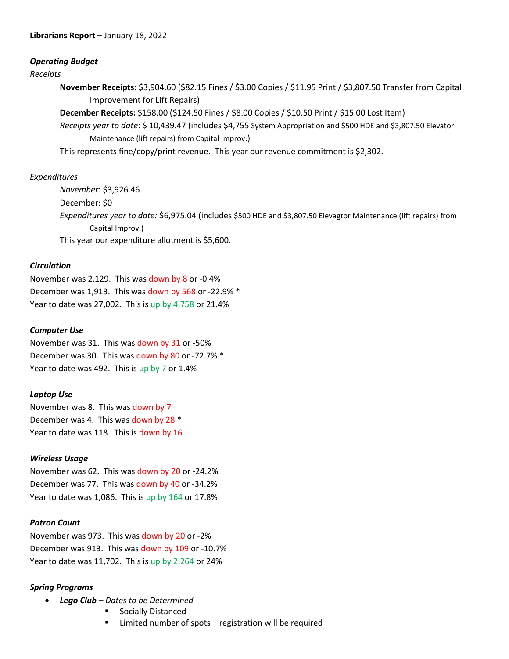### *Operating Budget*

#### *Receipts*

**November Receipts:** \$3,904.60 (\$82.15 Fines / \$3.00 Copies / \$11.95 Print / \$3,807.50 Transfer from Capital Improvement for Lift Repairs)

**December Receipts:** \$158.00 (\$124.50 Fines / \$8.00 Copies / \$10.50 Print / \$15.00 Lost Item)

*Receipts year to date*: \$ 10,439.47 (includes \$4,755 System Appropriation and \$500 HDE and \$3,807.50 Elevator Maintenance (lift repairs) from Capital Improv.)

This represents fine/copy/print revenue. This year our revenue commitment is \$2,302.

## *Expenditures*

*November*: \$3,926.46 December: \$0 *Expenditures year to date:* \$6,975.04 (includes \$500 HDE and \$3,807.50 Elevagtor Maintenance (lift repairs) from Capital Improv.) This year our expenditure allotment is \$5,600.

### *Circulation*

November was 2,129. This was down by 8 or -0.4% December was 1,913. This was down by 568 or -22.9% \* Year to date was 27,002. This is up by 4,758 or 21.4%

### *Computer Use*

November was 31. This was down by 31 or -50% December was 30. This was down by 80 or -72.7% \* Year to date was 492. This is up by 7 or 1.4%

#### *Laptop Use*

November was 8. This was down by 7 December was 4. This was down by 28 \* Year to date was 118. This is down by 16

## *Wireless Usage*

November was 62. This was down by 20 or -24.2% December was 77. This was down by 40 or -34.2% Year to date was 1,086. This is up by 164 or 17.8%

#### *Patron Count*

November was 973. This was down by 20 or -2% December was 913. This was down by 109 or -10.7% Year to date was 11,702. This is up by 2,264 or 24%

## *Spring Programs*

- *Lego Club – Dates to be Determined*
	- **Socially Distanced**
	- Limited number of spots registration will be required